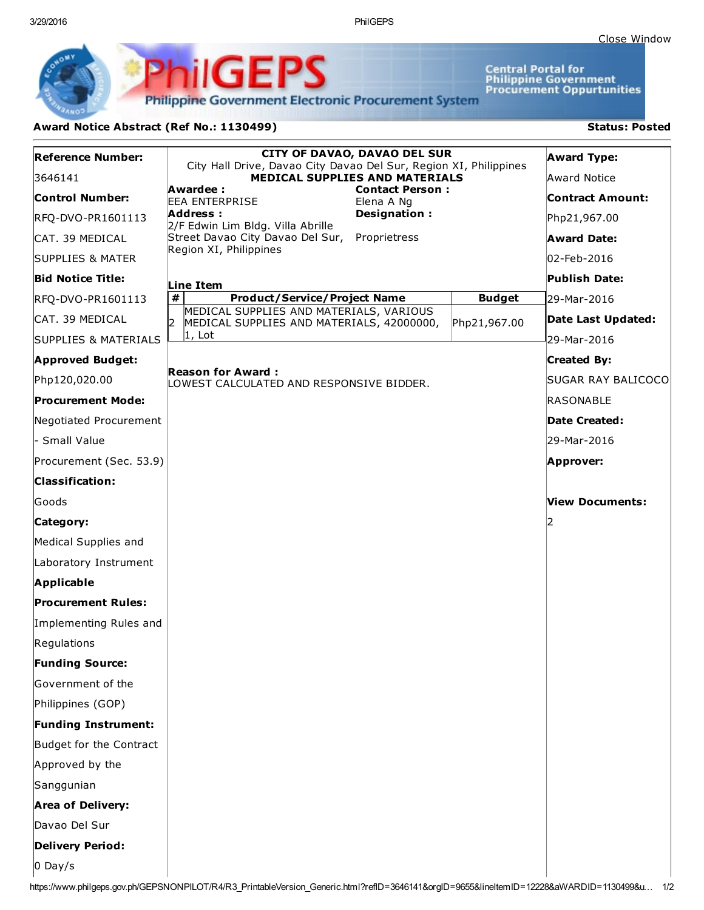3/29/2016 PhilGEPS

**Central Portal for<br>Philippine Government<br>Procurement Oppurtunities** 

**Philippine Government Electronic Procurement System** 

**PhilGEPS** 

## Award Notice Abstract (Ref No.: 1130499) Status: Posted

| <b>Reference Number:</b>   | <b>CITY OF DAVAO, DAVAO DEL SUR</b><br>City Hall Drive, Davao City Davao Del Sur, Region XI, Philippines |               | <b>Award Type:</b>      |
|----------------------------|----------------------------------------------------------------------------------------------------------|---------------|-------------------------|
| 3646141                    | <b>MEDICAL SUPPLIES AND MATERIALS</b>                                                                    |               | Award Notice            |
| <b>Control Number:</b>     | Awardee :<br><b>Contact Person:</b><br><b>EEA ENTERPRISE</b><br>Elena A Ng                               |               | <b>Contract Amount:</b> |
| RFQ-DVO-PR1601113          | Address:<br>Designation:<br>2/F Edwin Lim Bldg. Villa Abrille                                            |               | Php21,967.00            |
| CAT. 39 MEDICAL            | Street Davao City Davao Del Sur,<br>Proprietress                                                         |               | <b>Award Date:</b>      |
| SUPPLIES & MATER           | Region XI, Philippines                                                                                   |               | 02-Feb-2016             |
| <b>Bid Notice Title:</b>   | Line Item                                                                                                |               | Publish Date:           |
| RFQ-DVO-PR1601113          | $\pmb{\#}$<br><b>Product/Service/Project Name</b>                                                        | <b>Budget</b> | 29-Mar-2016             |
| CAT. 39 MEDICAL            | MEDICAL SUPPLIES AND MATERIALS, VARIOUS<br>I2<br>MEDICAL SUPPLIES AND MATERIALS, 42000000,               | Php21,967.00  | Date Last Updated:      |
| SUPPLIES & MATERIALS       | $ 1, \text{ Lot} $                                                                                       |               | 29-Mar-2016             |
| <b>Approved Budget:</b>    |                                                                                                          |               | <b>Created By:</b>      |
| Php120,020.00              | <b>Reason for Award:</b><br>LOWEST CALCULATED AND RESPONSIVE BIDDER.                                     |               | SUGAR RAY BALICOCO      |
| <b>Procurement Mode:</b>   |                                                                                                          |               | <b>RASONABLE</b>        |
| Negotiated Procurement     |                                                                                                          |               | Date Created:           |
| - Small Value              |                                                                                                          |               | 29-Mar-2016             |
| Procurement (Sec. 53.9)    |                                                                                                          | Approver:     |                         |
| <b>Classification:</b>     |                                                                                                          |               |                         |
| Goods                      |                                                                                                          |               | View Documents:         |
| Category:                  |                                                                                                          |               |                         |
| Medical Supplies and       |                                                                                                          |               |                         |
| Laboratory Instrument      |                                                                                                          |               |                         |
| Applicable                 |                                                                                                          |               |                         |
| <b>Procurement Rules:</b>  |                                                                                                          |               |                         |
| Implementing Rules and     |                                                                                                          |               |                         |
| Regulations                |                                                                                                          |               |                         |
| <b>Funding Source:</b>     |                                                                                                          |               |                         |
| Government of the          |                                                                                                          |               |                         |
| Philippines (GOP)          |                                                                                                          |               |                         |
| <b>Funding Instrument:</b> |                                                                                                          |               |                         |
| Budget for the Contract    |                                                                                                          |               |                         |
| Approved by the            |                                                                                                          |               |                         |
| Sanggunian                 |                                                                                                          |               |                         |
| Area of Delivery:          |                                                                                                          |               |                         |
| Davao Del Sur              |                                                                                                          |               |                         |
| <b>Delivery Period:</b>    |                                                                                                          |               |                         |
| $0$ Day/s                  |                                                                                                          |               |                         |